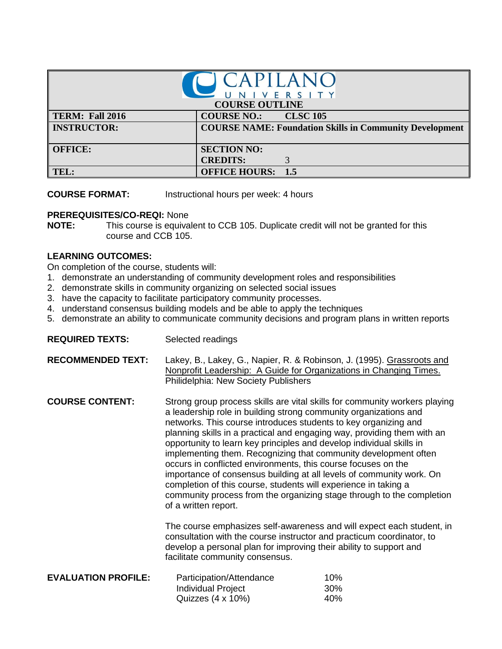| I CAPILANC<br>UNIVERSITY |                                                                |  |  |
|--------------------------|----------------------------------------------------------------|--|--|
| <b>COURSE OUTLINE</b>    |                                                                |  |  |
| TERM: Fall 2016          | <b>COURSE NO.:</b><br><b>CLSC 105</b>                          |  |  |
| <b>INSTRUCTOR:</b>       | <b>COURSE NAME: Foundation Skills in Community Development</b> |  |  |
| <b>OFFICE:</b>           | <b>SECTION NO:</b>                                             |  |  |
|                          | <b>CREDITS:</b>                                                |  |  |
| TEL:                     | <b>OFFICE HOURS: 1.5</b>                                       |  |  |

**COURSE FORMAT:** Instructional hours per week: 4 hours

## **PREREQUISITES/CO-REQI:** None

**NOTE:** This course is equivalent to CCB 105. Duplicate credit will not be granted for this course and CCB 105.

## **LEARNING OUTCOMES:**

On completion of the course, students will:

- 1. demonstrate an understanding of community development roles and responsibilities
- 2. demonstrate skills in community organizing on selected social issues
- 3. have the capacity to facilitate participatory community processes.
- 4. understand consensus building models and be able to apply the techniques
- 5. demonstrate an ability to communicate community decisions and program plans in written reports

| <b>REQUIRED TEXTS:</b>     | Selected readings                                                                                                                                                                                                                                                                                                                                                                                                                                                                                                                                                                                                                                                                                                                                                                                                                                                                                                                                                                                               |                   |
|----------------------------|-----------------------------------------------------------------------------------------------------------------------------------------------------------------------------------------------------------------------------------------------------------------------------------------------------------------------------------------------------------------------------------------------------------------------------------------------------------------------------------------------------------------------------------------------------------------------------------------------------------------------------------------------------------------------------------------------------------------------------------------------------------------------------------------------------------------------------------------------------------------------------------------------------------------------------------------------------------------------------------------------------------------|-------------------|
| <b>RECOMMENDED TEXT:</b>   | Lakey, B., Lakey, G., Napier, R. & Robinson, J. (1995). Grassroots and<br>Nonprofit Leadership: A Guide for Organizations in Changing Times.<br>Philidelphia: New Society Publishers                                                                                                                                                                                                                                                                                                                                                                                                                                                                                                                                                                                                                                                                                                                                                                                                                            |                   |
| <b>COURSE CONTENT:</b>     | Strong group process skills are vital skills for community workers playing<br>a leadership role in building strong community organizations and<br>networks. This course introduces students to key organizing and<br>planning skills in a practical and engaging way, providing them with an<br>opportunity to learn key principles and develop individual skills in<br>implementing them. Recognizing that community development often<br>occurs in conflicted environments, this course focuses on the<br>importance of consensus building at all levels of community work. On<br>completion of this course, students will experience in taking a<br>community process from the organizing stage through to the completion<br>of a written report.<br>The course emphasizes self-awareness and will expect each student, in<br>consultation with the course instructor and practicum coordinator, to<br>develop a personal plan for improving their ability to support and<br>facilitate community consensus. |                   |
|                            |                                                                                                                                                                                                                                                                                                                                                                                                                                                                                                                                                                                                                                                                                                                                                                                                                                                                                                                                                                                                                 |                   |
| <b>EVALUATION PROFILE:</b> | Participation/Attendance<br><b>Individual Project</b><br>Quizzes $(4 \times 10\%)$                                                                                                                                                                                                                                                                                                                                                                                                                                                                                                                                                                                                                                                                                                                                                                                                                                                                                                                              | 10%<br>30%<br>40% |